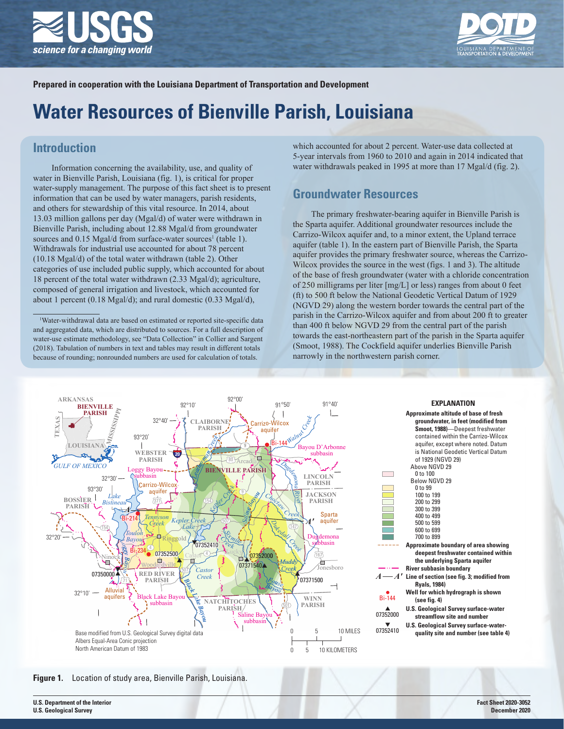



**Prepared in cooperation with the Louisiana Department of Transportation and Development** 

# **Water Resources of Bienville Parish, Louisiana**

# **Introduction**

Information concerning the availability, use, and quality of water in Bienville Parish, Louisiana (fig. 1), is critical for proper water-supply management. The purpose of this fact sheet is to present information that can be used by water managers, parish residents, and others for stewardship of this vital resource. In 2014, about 13.03 million gallons per day (Mgal/d) of water were withdrawn in Bienville Parish, including about 12.88 Mgal/d from groundwater sources and 0.15 Mgal/d from surface-water sources<sup>1</sup> (table 1). Withdrawals for industrial use accounted for about 78 percent (10.18 Mgal/d) of the total water withdrawn (table 2). Other categories of use included public supply, which accounted for about 18 percent of the total water withdrawn (2.33 Mgal/d); agriculture, composed of general irrigation and livestock, which accounted for about 1 percent (0.18 Mgal/d); and rural domestic (0.33 Mgal/d),

which accounted for about 2 percent. Water-use data collected at 5-year intervals from 1960 to 2010 and again in 2014 indicated that water withdrawals peaked in 1995 at more than 17 Mgal/d (fig. 2).

# **Groundwater Resources**

The primary freshwater-bearing aquifer in Bienville Parish is the Sparta aquifer. Additional groundwater resources include the Carrizo-Wilcox aquifer and, to a minor extent, the Upland terrace aquifer (table 1). In the eastern part of Bienville Parish, the Sparta aquifer provides the primary freshwater source, whereas the Carrizo-Wilcox provides the source in the west (figs. 1 and 3). The altitude of the base of fresh groundwater (water with a chloride concentration of 250 milligrams per liter [mg/L] or less) ranges from about 0 feet (ft) to 500 ft below the National Geodetic Vertical Datum of 1929 (NGVD 29) along the western border towards the central part of the parish in the Carrizo-Wilcox aquifer and from about 200 ft to greater than 400 ft below NGVD 29 from the central part of the parish towards the east-northeastern part of the parish in the Sparta aquifer (Smoot, 1988). The Cockfield aquifer underlies Bienville Parish narrowly in the northwestern parish corner.



**Figure 1.** Location of study area, Bienville Parish, Louisiana.

<sup>1</sup> Water-withdrawal data are based on estimated or reported site-specific data and aggregated data, which are distributed to sources. For a full description of water-use estimate methodology, see "Data Collection" in Collier and Sargent (2018). Tabulation of numbers in text and tables may result in different totals because of rounding; nonrounded numbers are used for calculation of totals.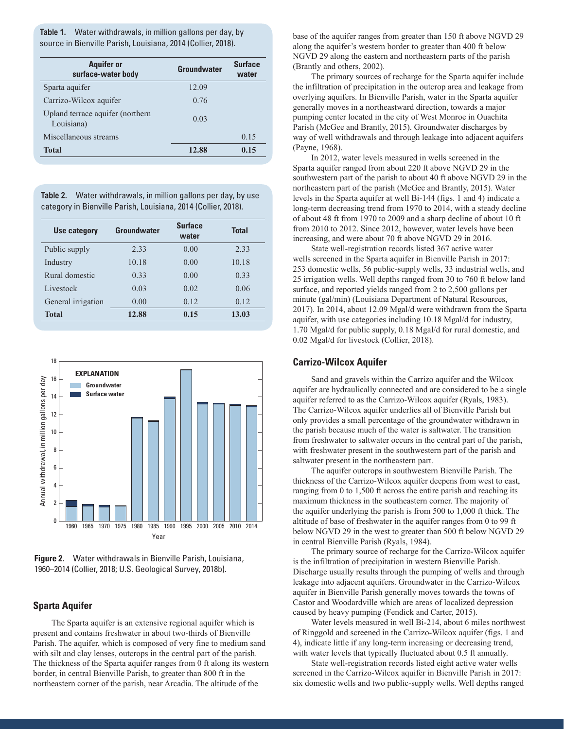**Table 1.** Water withdrawals, in million gallons per day, by source in Bienville Parish, Louisiana, 2014 (Collier, 2018).

| <b>Aquifer or</b><br>surface-water body        | Groundwater | <b>Surface</b><br>water |  |  |
|------------------------------------------------|-------------|-------------------------|--|--|
| Sparta aquifer                                 | 12.09       |                         |  |  |
| Carrizo-Wilcox aquifer                         | 0.76        |                         |  |  |
| Upland terrace aquifer (northern<br>Louisiana) | 0.03        |                         |  |  |
| Miscellaneous streams                          |             | 0.15                    |  |  |
| <b>Total</b>                                   | 12.88       | 0.15                    |  |  |

**Table 2.** Water withdrawals, in million gallons per day, by use category in Bienville Parish, Louisiana, 2014 (Collier, 2018).

| Use category       | Groundwater | <b>Surface</b><br>water | <b>Total</b> |  |  |
|--------------------|-------------|-------------------------|--------------|--|--|
| Public supply      | 2.33        | 0.00                    | 2.33         |  |  |
| Industry           | 10.18       | 0.00                    | 10.18        |  |  |
| Rural domestic     | 0.33        | 0.00                    | 0.33         |  |  |
| Livestock          | 0.03        | 0.02                    | 0.06         |  |  |
| General irrigation | 0.00        | 0.12                    | 0.12         |  |  |
| <b>Total</b>       | 12.88       | 0.15                    | 13.03        |  |  |



**Figure 2.** Water withdrawals in Bienville Parish, Louisiana, 1960–2014 (Collier, 2018; U.S. Geological Survey, 2018b).

#### **Sparta Aquifer**

The Sparta aquifer is an extensive regional aquifer which is present and contains freshwater in about two-thirds of Bienville Parish. The aquifer, which is composed of very fine to medium sand with silt and clay lenses, outcrops in the central part of the parish. The thickness of the Sparta aquifer ranges from 0 ft along its western border, in central Bienville Parish, to greater than 800 ft in the northeastern corner of the parish, near Arcadia. The altitude of the

base of the aquifer ranges from greater than 150 ft above NGVD 29 along the aquifer's western border to greater than 400 ft below NGVD 29 along the eastern and northeastern parts of the parish (Brantly and others, 2002).

The primary sources of recharge for the Sparta aquifer include the infiltration of precipitation in the outcrop area and leakage from overlying aquifers. In Bienville Parish, water in the Sparta aquifer generally moves in a northeastward direction, towards a major pumping center located in the city of West Monroe in Ouachita Parish (McGee and Brantly, 2015). Groundwater discharges by way of well withdrawals and through leakage into adjacent aquifers (Payne, 1968).

In 2012, water levels measured in wells screened in the Sparta aquifer ranged from about 220 ft above NGVD 29 in the southwestern part of the parish to about 40 ft above NGVD 29 in the northeastern part of the parish (McGee and Brantly, 2015). Water levels in the Sparta aquifer at well Bi-144 (figs. 1 and 4) indicate a long-term decreasing trend from 1970 to 2014, with a steady decline of about 48 ft from 1970 to 2009 and a sharp decline of about 10 ft from 2010 to 2012. Since 2012, however, water levels have been increasing, and were about 70 ft above NGVD 29 in 2016.

State well-registration records listed 367 active water wells screened in the Sparta aquifer in Bienville Parish in 2017: 253 domestic wells, 56 public-supply wells, 33 industrial wells, and 25 irrigation wells. Well depths ranged from 30 to 760 ft below land surface, and reported yields ranged from 2 to 2,500 gallons per minute (gal/min) (Louisiana Department of Natural Resources, 2017). In 2014, about 12.09 Mgal/d were withdrawn from the Sparta aquifer, with use categories including 10.18 Mgal/d for industry, 1.70 Mgal/d for public supply, 0.18 Mgal/d for rural domestic, and 0.02 Mgal/d for livestock (Collier, 2018).

#### **Carrizo-Wilcox Aquifer**

Sand and gravels within the Carrizo aquifer and the Wilcox aquifer are hydraulically connected and are considered to be a single aquifer referred to as the Carrizo-Wilcox aquifer (Ryals, 1983). The Carrizo-Wilcox aquifer underlies all of Bienville Parish but only provides a small percentage of the groundwater withdrawn in the parish because much of the water is saltwater. The transition from freshwater to saltwater occurs in the central part of the parish, with freshwater present in the southwestern part of the parish and saltwater present in the northeastern part.

The aquifer outcrops in southwestern Bienville Parish. The thickness of the Carrizo-Wilcox aquifer deepens from west to east, ranging from 0 to 1,500 ft across the entire parish and reaching its maximum thickness in the southeastern corner. The majority of the aquifer underlying the parish is from 500 to 1,000 ft thick. The altitude of base of freshwater in the aquifer ranges from 0 to 99 ft below NGVD 29 in the west to greater than 500 ft below NGVD 29 in central Bienville Parish (Ryals, 1984).

The primary source of recharge for the Carrizo-Wilcox aquifer is the infiltration of precipitation in western Bienville Parish. Discharge usually results through the pumping of wells and through leakage into adjacent aquifers. Groundwater in the Carrizo-Wilcox aquifer in Bienville Parish generally moves towards the towns of Castor and Woodardville which are areas of localized depression caused by heavy pumping (Fendick and Carter, 2015).

Water levels measured in well Bi-214, about 6 miles northwest of Ringgold and screened in the Carrizo-Wilcox aquifer (figs. 1 and 4), indicate little if any long-term increasing or decreasing trend, with water levels that typically fluctuated about 0.5 ft annually.

State well-registration records listed eight active water wells screened in the Carrizo-Wilcox aquifer in Bienville Parish in 2017: six domestic wells and two public-supply wells. Well depths ranged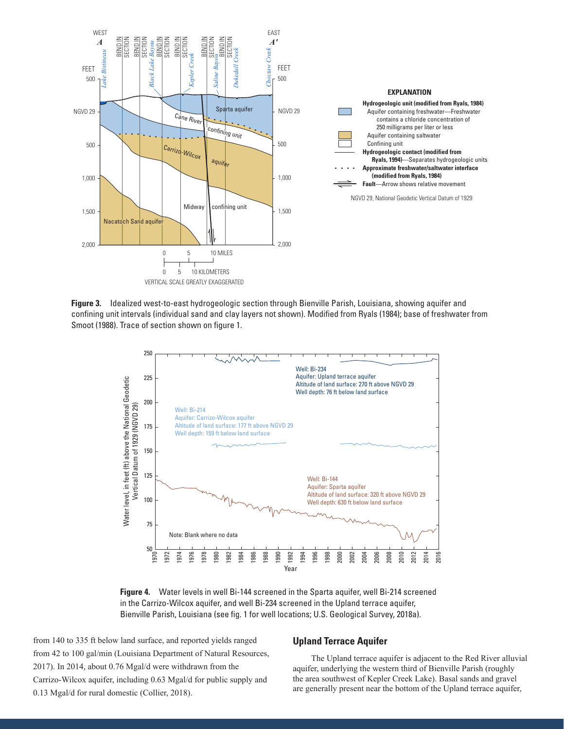

**Figure 3.** Idealized west-to-east hydrogeologic section through Bienville Parish, Louisiana, showing aquifer and confining unit intervals (individual sand and clay layers not shown). Modified from Ryals (1984); base of freshwater from Smoot (1988). Trace of section shown on figure 1.



**Figure 4.** Water levels in well Bi-144 screened in the Sparta aquifer, well Bi-214 screened in the Carrizo-Wilcox aquifer, and well Bi-234 screened in the Upland terrace aquifer, Bienville Parish, Louisiana (see fig. 1 for well locations; U.S. Geological Survey, 2018a).

from 140 to 335 ft below land surface, and reported yields ranged from 42 to 100 gal/min (Louisiana Department of Natural Resources, 2017). In 2014, about 0.76 Mgal/d were withdrawn from the Carrizo-Wilcox aquifer, including 0.63 Mgal/d for public supply and 0.13 Mgal/d for rural domestic (Collier, 2018).

#### **Upland Terrace Aquifer**

The Upland terrace aquifer is adjacent to the Red River alluvial aquifer, underlying the western third of Bienville Parish (roughly the area southwest of Kepler Creek Lake). Basal sands and gravel are generally present near the bottom of the Upland terrace aquifer,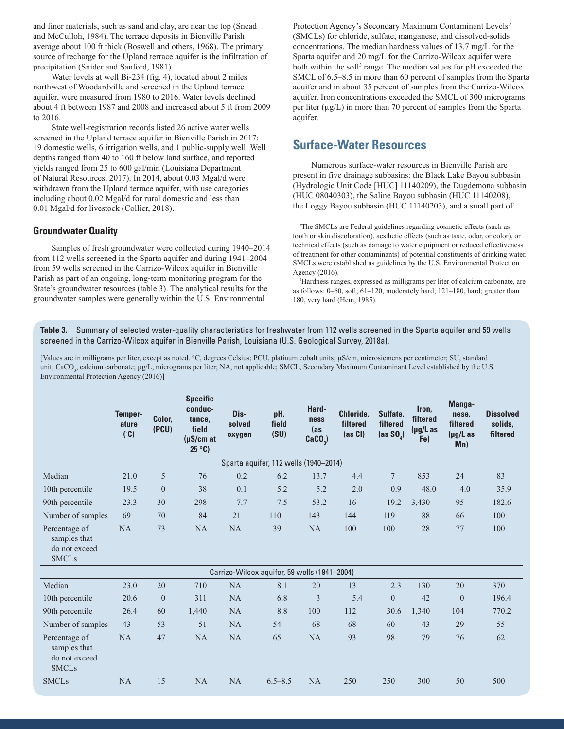and finer materials, such as sand and clay, are near the top (Snead and McCulloh, 1984). The terrace deposits in Bienville Parish average about 100 ft thick (Boswell and others, 1968). The primary source of recharge for the Upland terrace aquifer is the infiltration of precipitation (Snider and Sanford, 1981).

Water levels at well Bi-234 (fig. 4), located about 2 miles northwest of Woodardville and screened in the Upland terrace aquifer, were measured from 1980 to 2016. Water levels declined about 4 ft between 1987 and 2008 and increased about 5 ft from 2009 to 2016.

State well-registration records listed 26 active water wells screened in the Upland terrace aquifer in Bienville Parish in 2017: 19 domestic wells, 6 irrigation wells, and 1 public-supply well. Well depths ranged from 40 to 160 ft below land surface, and reported yields ranged from 25 to 600 gal/min (Louisiana Department of Natural Resources, 2017). In 2014, about 0.03 Mgal/d were withdrawn from the Upland terrace aquifer, with use categories including about 0.02 Mgal/d for rural domestic and less than 0.01 Mgal/d for livestock (Collier, 2018).

#### **Groundwater Quality**

Samples of fresh groundwater were collected during 1940–2014 from 112 wells screened in the Sparta aquifer and during 1941–2004 from 59 wells screened in the Carrizo-Wilcox aquifer in Bienville Parish as part of an ongoing, long-term monitoring program for the State's groundwater resources (table 3). The analytical results for the groundwater samples were generally within the U.S. Environmental

Protection Agency's Secondary Maximum Contaminant Levels<sup>2</sup> (SMCLs) for chloride, sulfate, manganese, and dissolved-solids concentrations. The median hardness values of 13.7 mg/L for the Sparta aquifer and 20 mg/L for the Carrizo-Wilcox aquifer were both within the soft<sup>3</sup> range. The median values for pH exceeded the SMCL of 6.5–8.5 in more than 60 percent of samples from the Sparta aquifer and in about 35 percent of samples from the Carrizo-Wilcox aquifer. Iron concentrations exceeded the SMCL of 300 micrograms per liter (µg/L) in more than 70 percent of samples from the Sparta aquifer.

# **Surface-Water Resources**

Numerous surface-water resources in Bienville Parish are present in five drainage subbasins: the Black Lake Bayou subbasin (Hydrologic Unit Code [HUC] 11140209), the Dugdemona subbasin (HUC 08040303), the Saline Bayou subbasin (HUC 11140208), the Loggy Bayou subbasin (HUC 11140203), and a small part of

**Table 3.** Summary of selected water-quality characteristics for freshwater from 112 wells screened in the Sparta aquifer and 59 wells screened in the Carrizo-Wilcox aquifer in Bienville Parish, Louisiana (U.S. Geological Survey, 2018a).

[Values are in milligrams per liter, except as noted. °C, degrees Celsius; PCU, platinum cobalt units; µS/cm, microsiemens per centimeter; SU, standard unit; CaCO<sub>3</sub>, calcium carbonate; µg/L, micrograms per liter; NA, not applicable; SMCL, Secondary Maximum Contaminant Level established by the U.S. Environmental Protection Agency (2016)]

|                                                                | <b>Temper-</b><br>ature<br>(°C) | Color,<br>(PCU) | <b>Specific</b><br>conduc-<br>tance,<br>field<br>(uS/cmat<br>25°C | Dis-<br>solved<br>oxygen | pH,<br>field<br>(SU)                         | Hard-<br>ness<br>(as<br>$CaCO3$ ) | Chloride,<br>filtered<br>$(as CI)$ | Sulfate.<br>filtered<br>(as $SO_a$ ) | Iron.<br>filtered<br>$(\mu g/L)$ as<br>Fe) | Manga-<br>nese,<br>filtered<br>$(\mu g/L)$ as<br>Mn) | <b>Dissolved</b><br>solids.<br>filtered |
|----------------------------------------------------------------|---------------------------------|-----------------|-------------------------------------------------------------------|--------------------------|----------------------------------------------|-----------------------------------|------------------------------------|--------------------------------------|--------------------------------------------|------------------------------------------------------|-----------------------------------------|
|                                                                |                                 |                 |                                                                   |                          | Sparta aquifer, 112 wells (1940-2014)        |                                   |                                    |                                      |                                            |                                                      |                                         |
| Median                                                         | 21.0                            | 5               | 76                                                                | 0.2                      | 6.2                                          | 13.7                              | 4.4                                | $\tau$                               | 853                                        | 24                                                   | 83                                      |
| 10th percentile                                                | 19.5                            | $\overline{0}$  | 38                                                                | 0.1                      | 5.2                                          | 5.2                               | 2.0                                | 0.9                                  | 48.0                                       | 4.0                                                  | 35.9                                    |
| 90th percentile                                                | 23.3                            | 30              | 298                                                               | 7.7                      | 7.5                                          | 53.2                              | 16                                 | 19.2                                 | 3,430                                      | 95                                                   | 182.6                                   |
| Number of samples                                              | 69                              | 70              | 84                                                                | 21                       | 110                                          | 143                               | 144                                | 119                                  | 88                                         | 66                                                   | 100                                     |
| Percentage of<br>samples that<br>do not exceed<br><b>SMCLs</b> | <b>NA</b>                       | 73              | NA                                                                | <b>NA</b>                | 39                                           | NA                                | 100                                | 100                                  | 28                                         | 77                                                   | 100                                     |
|                                                                |                                 |                 |                                                                   |                          | Carrizo-Wilcox aquifer, 59 wells (1941-2004) |                                   |                                    |                                      |                                            |                                                      |                                         |
| Median                                                         | 23.0                            | 20              | 710                                                               | NA                       | 8.1                                          | 20                                | 13                                 | 2.3                                  | 130                                        | 20                                                   | 370                                     |
| 10th percentile                                                | 20.6                            | $\overline{0}$  | 311                                                               | <b>NA</b>                | 6.8                                          | 3                                 | 5.4                                | $\overline{0}$                       | 42                                         | $\theta$                                             | 196.4                                   |
| 90th percentile                                                | 26.4                            | 60              | 1,440                                                             | NA                       | 8.8                                          | 100                               | 112                                | 30.6                                 | 1,340                                      | 104                                                  | 770.2                                   |
| Number of samples                                              | 43                              | 53              | 51                                                                | <b>NA</b>                | 54                                           | 68                                | 68                                 | 60                                   | 43                                         | 29                                                   | 55                                      |
| Percentage of<br>samples that<br>do not exceed<br><b>SMCLs</b> | <b>NA</b>                       | 47              | NA                                                                | <b>NA</b>                | 65                                           | <b>NA</b>                         | 93                                 | 98                                   | 79                                         | 76                                                   | 62                                      |
| <b>SMCLs</b>                                                   | <b>NA</b>                       | 15              | NA                                                                | <b>NA</b>                | $6.5 - 8.5$                                  | NA                                | 250                                | 250                                  | 300                                        | 50                                                   | 500                                     |

<sup>2</sup> The SMCLs are Federal guidelines regarding cosmetic effects (such as tooth or skin discoloration), aesthetic effects (such as taste, odor, or color), or technical effects (such as damage to water equipment or reduced effectiveness of treatment for other contaminants) of potential constituents of drinking water. SMCLs were established as guidelines by the U.S. Environmental Protection Agency (2016).

<sup>3</sup> Hardness ranges, expressed as milligrams per liter of calcium carbonate, are as follows: 0–60, soft; 61–120, moderately hard; 121–180, hard; greater than 180, very hard (Hem, 1985).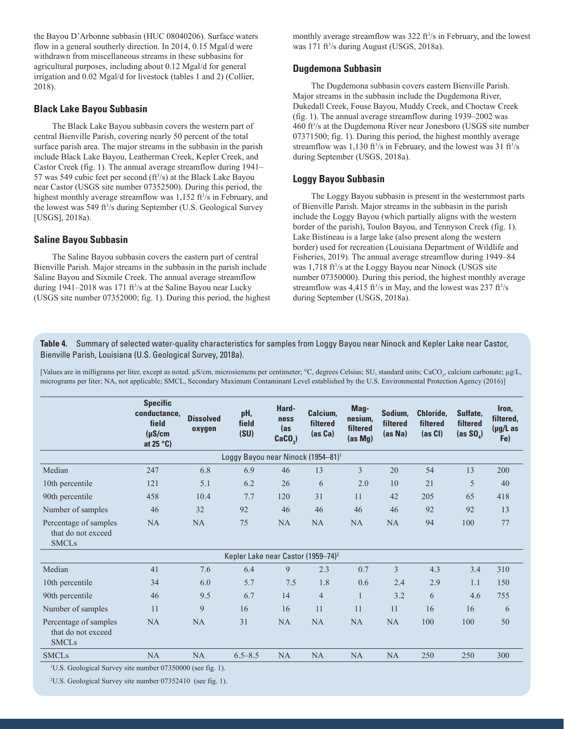the Bayou D'Arbonne subbasin (HUC 08040206). Surface waters flow in a general southerly direction. In 2014, 0.15 Mgal/d were withdrawn from miscellaneous streams in these subbasins for agricultural purposes, including about 0.12 Mgal/d for general irrigation and 0.02 Mgal/d for livestock (tables 1 and 2) (Collier, 2018).

## **Black Lake Bayou Subbasin**

The Black Lake Bayou subbasin covers the western part of central Bienville Parish, covering nearly 50 percent of the total surface parish area. The major streams in the subbasin in the parish include Black Lake Bayou, Leatherman Creek, Kepler Creek, and Castor Creek (fig. 1). The annual average streamflow during 1941– 57 was 549 cubic feet per second  $(f<sup>3</sup>/s)$  at the Black Lake Bayou near Castor (USGS site number 07352500). During this period, the highest monthly average streamflow was 1,152 ft<sup>3</sup>/s in February, and the lowest was 549 ft3 /s during September (U.S. Geological Survey [USGS], 2018a).

### **Saline Bayou Subbasin**

The Saline Bayou subbasin covers the eastern part of central Bienville Parish. Major streams in the subbasin in the parish include Saline Bayou and Sixmile Creek. The annual average streamflow during  $1941-2018$  was  $171$  ft<sup>3</sup>/s at the Saline Bayou near Lucky (USGS site number 07352000; fig. 1). During this period, the highest monthly average streamflow was 322 ft<sup>3</sup>/s in February, and the lowest was 171 ft<sup>3</sup>/s during August (USGS, 2018a).

### **Dugdemona Subbasin**

The Dugdemona subbasin covers eastern Bienville Parish. Major streams in the subbasin include the Dugdemona River, Dukedall Creek, Fouse Bayou, Muddy Creek, and Choctaw Creek (fig. 1). The annual average streamflow during 1939–2002 was 460 ft3 /s at the Dugdemona River near Jonesboro (USGS site number 07371500; fig. 1). During this period, the highest monthly average streamflow was  $1,130 \text{ ft}^3/\text{s}$  in February, and the lowest was 31 ft $\frac{3}{s}$ during September (USGS, 2018a).

### **Loggy Bayou Subbasin**

The Loggy Bayou subbasin is present in the westernmost parts of Bienville Parish. Major streams in the subbasin in the parish include the Loggy Bayou (which partially aligns with the western border of the parish), Toulon Bayou, and Tennyson Creek (fig. 1). Lake Bistineau is a large lake (also present along the western border) used for recreation (Louisiana Department of Wildlife and Fisheries, 2019). The annual average streamflow during 1949–84 was 1,718 ft<sup>3</sup>/s at the Loggy Bayou near Ninock (USGS site number 07350000). During this period, the highest monthly average streamflow was  $4,415$  ft<sup>3</sup>/s in May, and the lowest was  $237$  ft<sup>3</sup>/s during September (USGS, 2018a).

**Table 4.** Summary of selected water-quality characteristics for samples from Loggy Bayou near Ninock and Kepler Lake near Castor, Bienville Parish, Louisiana (U.S. Geological Survey, 2018a).

[Values are in milligrams per liter, except as noted. µS/cm, microsiemens per centimeter; °C, degrees Celsius; SU, standard units; CaCO<sub>3</sub>, calcium carbonate; µg/L, micrograms per liter; NA, not applicable; SMCL, Secondary Maximum Contaminant Level established by the U.S. Environmental Protection Agency (2016)]

|                                                             | <b>Specific</b><br>conductance,<br>field<br>$(\mu S/cm)$<br>at 25 $\degree$ C) | <b>Dissolved</b><br>oxygen | pH,<br>field<br>(SU)                           | Hard-<br>ness<br>(as<br>$CaCO3$ ) | Calcium,<br>filtered<br>(as Ca) | Mag-<br>nesium,<br>filtered<br>(as Mg) | Sodium,<br>filtered<br>(as Na) | Chloride,<br>filtered<br>$(as CI)$ | Sulfate,<br>filtered<br>(as $SO_a$ ) | Iron.<br>filtered.<br>(µg/L as<br>Fe) |
|-------------------------------------------------------------|--------------------------------------------------------------------------------|----------------------------|------------------------------------------------|-----------------------------------|---------------------------------|----------------------------------------|--------------------------------|------------------------------------|--------------------------------------|---------------------------------------|
|                                                             |                                                                                |                            | Loggy Bayou near Ninock (1954-81) <sup>1</sup> |                                   |                                 |                                        |                                |                                    |                                      |                                       |
| Median                                                      | 247                                                                            | 6.8                        | 6.9                                            | 46                                | 13                              | 3                                      | 20                             | 54                                 | 13                                   | 200                                   |
| 10th percentile                                             | 121                                                                            | 5.1                        | 6.2                                            | 26                                | 6                               | 2.0                                    | 10                             | 21                                 | 5                                    | 40                                    |
| 90th percentile                                             | 458                                                                            | 10.4                       | 7.7                                            | 120                               | 31                              | 11                                     | 42                             | 205                                | 65                                   | 418                                   |
| Number of samples                                           | 46                                                                             | 32                         | 92                                             | 46                                | 46                              | 46                                     | 46                             | 92                                 | 92                                   | 13                                    |
| Percentage of samples<br>that do not exceed<br><b>SMCLs</b> | NA                                                                             | NA                         | 75                                             | NA                                | NA                              | NA                                     | <b>NA</b>                      | 94                                 | 100                                  | 77                                    |
|                                                             |                                                                                |                            | Kepler Lake near Castor (1959-74) <sup>2</sup> |                                   |                                 |                                        |                                |                                    |                                      |                                       |
| Median                                                      | 41                                                                             | 7.6                        | 6.4                                            | 9                                 | 2.3                             | 0.7                                    | 3                              | 4.3                                | 3.4                                  | 310                                   |
| 10th percentile                                             | 34                                                                             | 6.0                        | 5.7                                            | 7.5                               | 1.8                             | 0.6                                    | 2.4                            | 2.9                                | 1.1                                  | 150                                   |
| 90th percentile                                             | 46                                                                             | 9.5                        | 6.7                                            | 14                                | $\overline{4}$                  | $\mathbf{1}$                           | 3.2                            | 6                                  | 4.6                                  | 755                                   |
| Number of samples                                           | 11                                                                             | 9                          | 16                                             | 16                                | 11                              | 11                                     | 11                             | 16                                 | 16                                   | 6                                     |
| Percentage of samples<br>that do not exceed<br><b>SMCLs</b> | <b>NA</b>                                                                      | NA                         | 31                                             | <b>NA</b>                         | <b>NA</b>                       | <b>NA</b>                              | NA                             | 100                                | 100                                  | 50                                    |
| <b>SMCLs</b>                                                | <b>NA</b>                                                                      | NA                         | $6.5 - 8.5$                                    | <b>NA</b>                         | <b>NA</b>                       | NA                                     | NA                             | 250                                | 250                                  | 300                                   |

<sup>1</sup>U.S. Geological Survey site number 07350000 (see fig. 1).

2 U.S. Geological Survey site number 07352410 (see fig. 1).